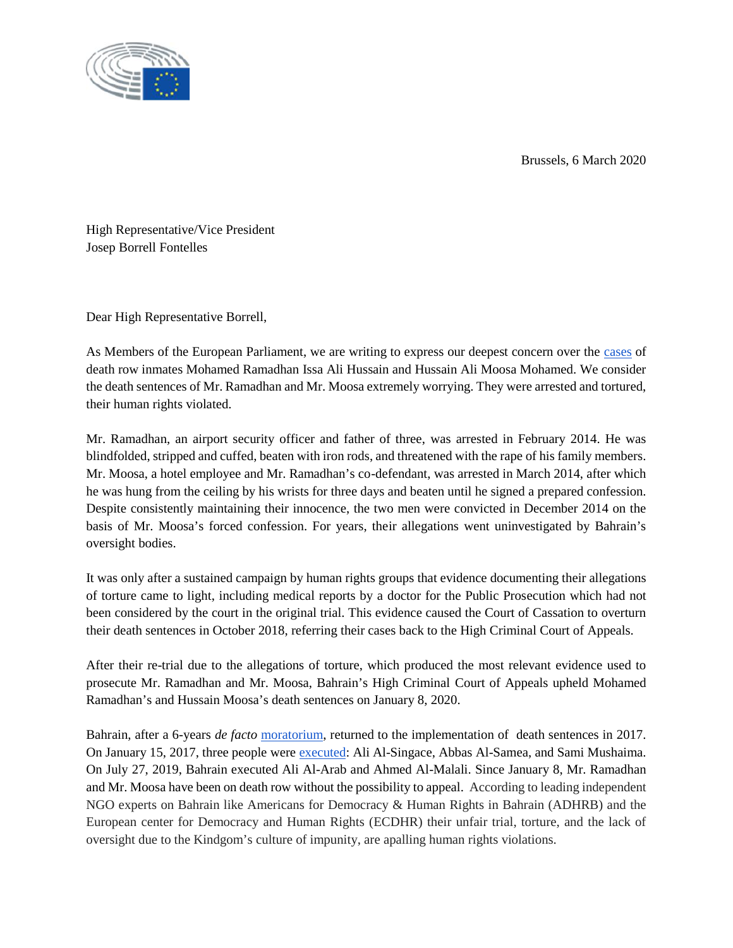Brussels, 6 March 2020



High Representative/Vice President Josep Borrell Fontelles

Dear High Representative Borrell,

As Members of the European Parliament, we are writing to express our deepest concern over the cases of death row inmates Mohamed Ramadhan Issa Ali Hussain and Hussain Ali Moosa Mohamed. We consider the death sentences of Mr. Ramadhan and Mr. Moosa extremely worrying. They were arrested and tortured, their human rights violated.

Mr. Ramadhan, an airport security officer and father of three, was arrested in February 2014. He was blindfolded, stripped and cuffed, beaten with iron rods, and threatened with the rape of his family members. Mr. Moosa, a hotel employee and Mr. Ramadhan's co-defendant, was arrested in March 2014, after which he was hung from the ceiling by his wrists for three days and beaten until he signed a prepared confession. Despite consistently maintaining their innocence, the two men were convicted in December 2014 on the basis of Mr. Moosa's forced confession. For years, their allegations went uninvestigated by Bahrain's oversight bodies.

It was only after a sustained campaign by human rights groups that evidence documenting their allegations of torture came to light, including medical reports by a doctor for the Public Prosecution which had not been considered by the court in the original trial. This evidence caused the Court of Cassation to overturn their death sentences in October 2018, referring their cases back to the High Criminal Court of Appeals.

After their re-trial due to the allegations of torture, which produced the most relevant evidence used to prosecute Mr. Ramadhan and Mr. Moosa, Bahrain's High Criminal Court of Appeals upheld Mohamed Ramadhan's and Hussain Moosa's death sentences on January 8, 2020.

Bahrain, after a 6-years *de facto* moratorium, returned to the implementation of death sentences in 2017. On January 15, 2017, three people were executed: Ali Al-Singace, Abbas Al-Samea, and Sami Mushaima. On July 27, 2019, Bahrain executed Ali Al-Arab and Ahmed Al-Malali. Since January 8, Mr. Ramadhan and Mr. Moosa have been on death row without the possibility to appeal. According to leading independent NGO experts on Bahrain like Americans for Democracy & Human Rights in Bahrain (ADHRB) and the European center for Democracy and Human Rights (ECDHR) their unfair trial, torture, and the lack of oversight due to the Kindgom's culture of impunity, are apalling human rights violations.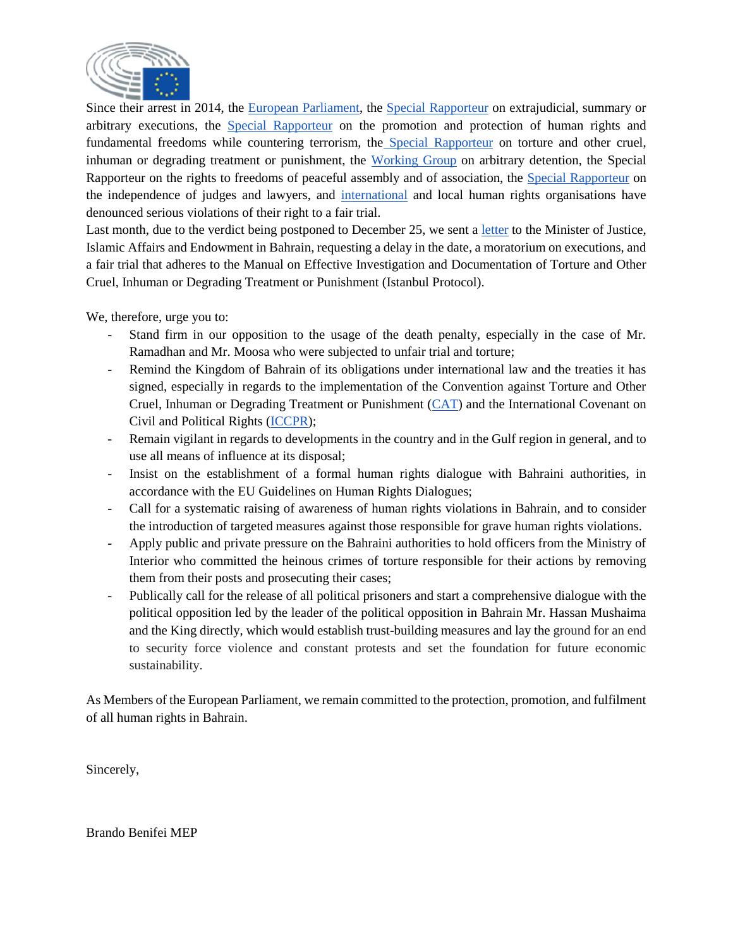

Since their arrest in 2014, the European Parliament, the Special Rapporteur on extrajudicial, summary or arbitrary executions, the Special Rapporteur on the promotion and protection of human rights and fundamental freedoms while countering terrorism, the Special Rapporteur on torture and other cruel, inhuman or degrading treatment or punishment, the Working Group on arbitrary detention, the Special Rapporteur on the rights to freedoms of peaceful assembly and of association, the Special Rapporteur on the independence of judges and lawyers, and international and local human rights organisations have denounced serious violations of their right to a fair trial.

Last month, due to the verdict being postponed to December 25, we sent a letter to the Minister of Justice, Islamic Affairs and Endowment in Bahrain, requesting a delay in the date, a moratorium on executions, and a fair trial that adheres to the Manual on Effective Investigation and Documentation of Torture and Other Cruel, Inhuman or Degrading Treatment or Punishment (Istanbul Protocol).

We, therefore, urge you to:

- Stand firm in our opposition to the usage of the death penalty, especially in the case of Mr. Ramadhan and Mr. Moosa who were subjected to unfair trial and torture;
- Remind the Kingdom of Bahrain of its obligations under international law and the treaties it has signed, especially in regards to the implementation of the Convention against Torture and Other Cruel, Inhuman or Degrading Treatment or Punishment (CAT) and the International Covenant on Civil and Political Rights (ICCPR);
- Remain vigilant in regards to developments in the country and in the Gulf region in general, and to use all means of influence at its disposal;
- Insist on the establishment of a formal human rights dialogue with Bahraini authorities, in accordance with the EU Guidelines on Human Rights Dialogues;
- Call for a systematic raising of awareness of human rights violations in Bahrain, and to consider the introduction of targeted measures against those responsible for grave human rights violations.
- Apply public and private pressure on the Bahraini authorities to hold officers from the Ministry of Interior who committed the heinous crimes of torture responsible for their actions by removing them from their posts and prosecuting their cases;
- Publically call for the release of all political prisoners and start a comprehensive dialogue with the political opposition led by the leader of the political opposition in Bahrain Mr. Hassan Mushaima and the King directly, which would establish trust-building measures and lay the ground for an end to security force violence and constant protests and set the foundation for future economic sustainability.

As Members of the European Parliament, we remain committed to the protection, promotion, and fulfilment of all human rights in Bahrain.

Sincerely,

Brando Benifei MEP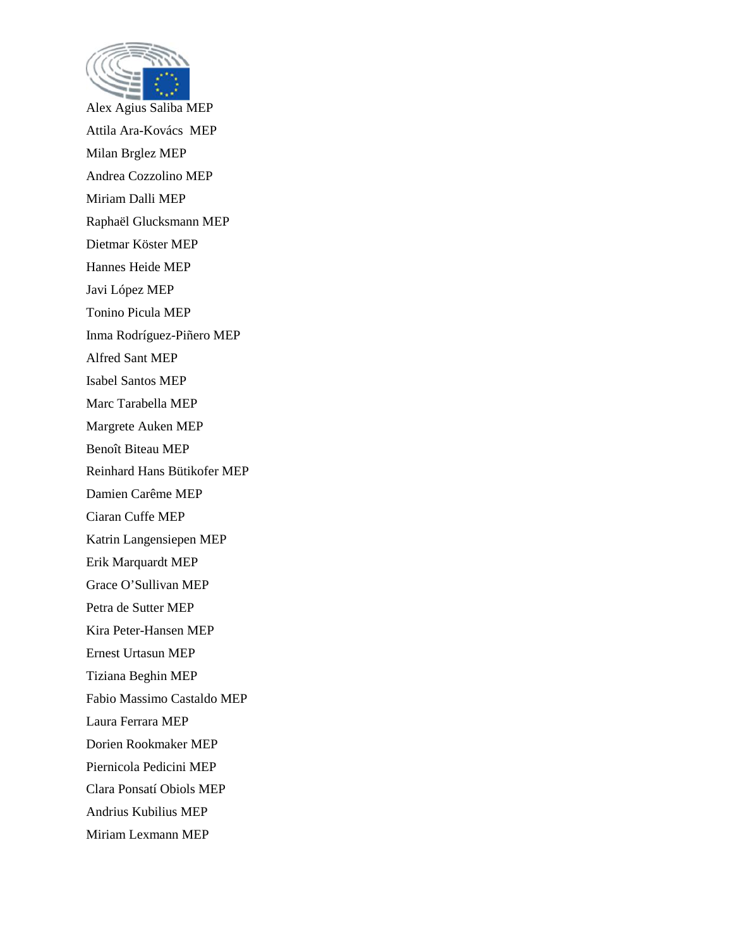

Alex Agius Saliba MEP Attila Ara-Kovács MEP Milan Brglez MEP Andrea Cozzolino MEP Miriam Dalli MEP Raphaël Glucksmann MEP Dietmar Köster MEP Hannes Heide MEP Javi López MEP Tonino Picula MEP Inma Rodríguez-Piñero MEP Alfred Sant MEP Isabel Santos MEP Marc Tarabella MEP Margrete Auken MEP Benoît Biteau MEP Reinhard Hans Bütikofer MEP Damien Carême MEP Ciaran Cuffe MEP Katrin Langensiepen MEP Erik Marquardt MEP Grace O'Sullivan MEP Petra de Sutter MEP Kira Peter-Hansen MEP Ernest Urtasun MEP Tiziana Beghin MEP Fabio Massimo Castaldo MEP Laura Ferrara MEP Dorien Rookmaker MEP Piernicola Pedicini MEP Clara Ponsatí Obiols MEP Andrius Kubilius MEP Miriam Lexmann MEP